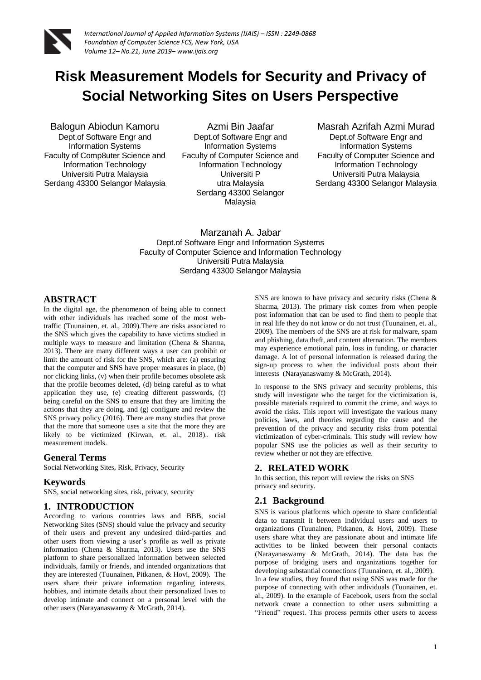

# **Risk Measurement Models for Security and Privacy of Social Networking Sites on Users Perspective**

Balogun Abiodun Kamoru Dept.of Software Engr and Information Systems Faculty of Comp8uter Science and Information Technology Universiti Putra Malaysia Serdang 43300 Selangor Malaysia

Azmi Bin Jaafar Dept.of Software Engr and Information Systems Faculty of Computer Science and Information Technology Universiti P utra Malaysia Serdang 43300 Selangor **Malaysia** 

Masrah Azrifah Azmi Murad Dept.of Software Engr and Information Systems Faculty of Computer Science and Information Technology Universiti Putra Malaysia Serdang 43300 Selangor Malaysia

Marzanah A. Jabar Dept.of Software Engr and Information Systems Faculty of Computer Science and Information Technology Universiti Putra Malaysia Serdang 43300 Selangor Malaysia

#### **ABSTRACT**

In the digital age, the phenomenon of being able to connect with other individuals has reached some of the most webtraffic (Tuunainen, et. al., 2009).There are risks associated to the SNS which gives the capability to have victims studied in multiple ways to measure and limitation (Chena & Sharma, 2013). There are many different ways a user can prohibit or limit the amount of risk for the SNS, which are: (a) ensuring that the computer and SNS have proper measures in place, (b) nor clicking links, (v) when their profile becomes obsolete ask that the profile becomes deleted, (d) being careful as to what application they use, (e) creating different passwords, (f) being careful on the SNS to ensure that they are limiting the actions that they are doing, and (g) configure and review the SNS privacy policy (2016). There are many studies that prove that the more that someone uses a site that the more they are likely to be victimized (Kirwan, et. al., 2018).. risk measurement models.

### **General Terms**

Social Networking Sites, Risk, Privacy, Security

#### **Keywords**

SNS, social networking sites, risk, privacy, security

#### **1. INTRODUCTION**

According to various countries laws and BBB, social Networking Sites (SNS) should value the privacy and security of their users and prevent any undesired third-parties and other users from viewing a user's profile as well as private information (Chena & Sharma, 2013). Users use the SNS platform to share personalized information between selected individuals, family or friends, and intended organizations that they are interested (Tuunainen, Pitkanen, & Hovi, 2009). The users share their private information regarding interests, hobbies, and intimate details about their personalized lives to develop intimate and connect on a personal level with the other users (Narayanaswamy & McGrath, 2014).

SNS are known to have privacy and security risks (Chena & Sharma, 2013). The primary risk comes from when people post information that can be used to find them to people that in real life they do not know or do not trust (Tuunainen, et. al., 2009). The members of the SNS are at risk for malware, spam and phishing, data theft, and content alternation. The members may experience emotional pain, loss in funding, or character damage. A lot of personal information is released during the sign-up process to when the individual posts about their interests (Narayanaswamy & McGrath, 2014).

In response to the SNS privacy and security problems, this study will investigate who the target for the victimization is, possible materials required to commit the crime, and ways to avoid the risks. This report will investigate the various many policies, laws, and theories regarding the cause and the prevention of the privacy and security risks from potential victimization of cyber-criminals. This study will review how popular SNS use the policies as well as their security to review whether or not they are effective.

#### **2. RELATED WORK**

In this section, this report will review the risks on SNS privacy and security.

### **2.1 Background**

SNS is various platforms which operate to share confidential data to transmit it between individual users and users to organizations (Tuunainen, Pitkanen, & Hovi, 2009). These users share what they are passionate about and intimate life activities to be linked between their personal contacts (Narayanaswamy & McGrath, 2014). The data has the purpose of bridging users and organizations together for developing substantial connections (Tuunainen, et. al., 2009). In a few studies, they found that using SNS was made for the purpose of connecting with other individuals (Tuunainen, et. al., 2009). In the example of Facebook, users from the social network create a connection to other users submitting a "Friend" request. This process permits other users to access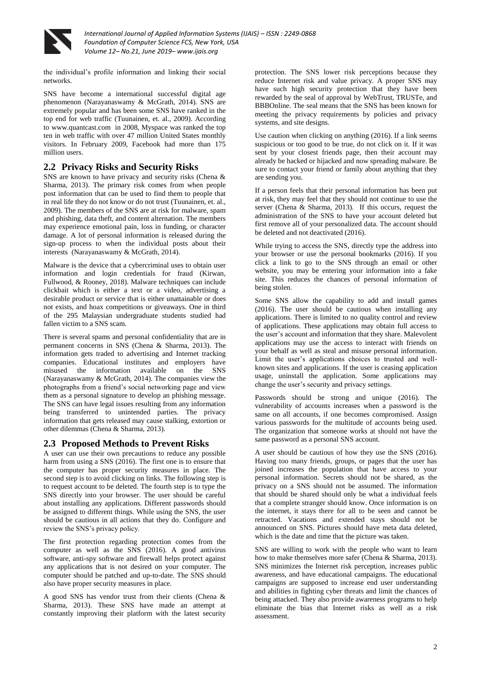

*International Journal of Applied Information Systems (IJAIS) – ISSN : 2249-0868 Foundation of Computer Science FCS, New York, USA Volume 12– No.21, June 2019– www.ijais.org*

the individual's profile information and linking their social networks.

SNS have become a international successful digital age phenomenon (Narayanaswamy & McGrath, 2014). SNS are extremely popular and has been some SNS have ranked in the top end for web traffic (Tuunainen, et. al., 2009). According to www.quantcast.com in 2008, Myspace was ranked the top ten in web traffic with over 47 million United States monthly visitors. In February 2009, Facebook had more than 175 million users.

## **2.2 Privacy Risks and Security Risks**

SNS are known to have privacy and security risks (Chena & Sharma, 2013). The primary risk comes from when people post information that can be used to find them to people that in real life they do not know or do not trust (Tuunainen, et. al., 2009). The members of the SNS are at risk for malware, spam and phishing, data theft, and content alternation. The members may experience emotional pain, loss in funding, or character damage. A lot of personal information is released during the sign-up process to when the individual posts about their interests (Narayanaswamy & McGrath, 2014).

Malware is the device that a cybercriminal uses to obtain user information and login credentials for fraud (Kirwan, Fullwood, & Rooney, 2018). Malware techniques can include clickbait which is either a text or a video, advertising a desirable product or service that is either unattainable or does not exists, and hoax competitions or giveaways. One in third of the 295 Malaysian undergraduate students studied had fallen victim to a SNS scam.

There is several spams and personal confidentiality that are in permanent concerns in SNS (Chena & Sharma, 2013). The information gets traded to advertising and Internet tracking companies. Educational institutes and employers have misused the information available on the SNS (Narayanaswamy & McGrath, 2014). The companies view the photographs from a friend's social networking page and view them as a personal signature to develop an phishing message. The SNS can have legal issues resulting from any information being transferred to unintended parties. The privacy information that gets released may cause stalking, extortion or other dilemmas (Chena & Sharma, 2013).

### **2.3 Proposed Methods to Prevent Risks**

A user can use their own precautions to reduce any possible harm from using a SNS (2016). The first one is to ensure that the computer has proper security measures in place. The second step is to avoid clicking on links. The following step is to request account to be deleted. The fourth step is to type the SNS directly into your browser. The user should be careful about installing any applications. Different passwords should be assigned to different things. While using the SNS, the user should be cautious in all actions that they do. Configure and review the SNS's privacy policy.

The first protection regarding protection comes from the computer as well as the SNS (2016). A good antivirus software, anti-spy software and firewall helps protect against any applications that is not desired on your computer. The computer should be patched and up-to-date. The SNS should also have proper security measures in place.

A good SNS has vendor trust from their clients (Chena & Sharma, 2013). These SNS have made an attempt at constantly improving their platform with the latest security

protection. The SNS lower risk perceptions because they reduce Internet risk and value privacy. A proper SNS may have such high security protection that they have been rewarded by the seal of approval by WebTrust, TRUSTe, and BBBOnline. The seal means that the SNS has been known for meeting the privacy requirements by policies and privacy systems, and site designs.

Use caution when clicking on anything (2016). If a link seems suspicious or too good to be true, do not click on it. If it was sent by your closest friends page, then their account may already be hacked or hijacked and now spreading malware. Be sure to contact your friend or family about anything that they are sending you.

If a person feels that their personal information has been put at risk, they may feel that they should not continue to use the server (Chena & Sharma, 2013). If this occurs, request the administration of the SNS to have your account deleted but first remove all of your personalized data. The account should be deleted and not deactivated (2016).

While trying to access the SNS, directly type the address into your browser or use the personal bookmarks (2016). If you click a link to go to the SNS through an email or other website, you may be entering your information into a fake site. This reduces the chances of personal information of being stolen.

Some SNS allow the capability to add and install games (2016). The user should be cautious when installing any applications. There is limited to no quality control and review of applications. These applications may obtain full access to the user's account and information that they share. Malevolent applications may use the access to interact with friends on your behalf as well as steal and misuse personal information. Limit the user's applications choices to trusted and wellknown sites and applications. If the user is ceasing application usage, uninstall the application. Some applications may change the user's security and privacy settings.

Passwords should be strong and unique (2016). The vulnerability of accounts increases when a password is the same on all accounts, if one becomes compromised. Assign various passwords for the multitude of accounts being used. The organization that someone works at should not have the same password as a personal SNS account.

A user should be cautious of how they use the SNS (2016). Having too many friends, groups, or pages that the user has joined increases the population that have access to your personal information. Secrets should not be shared, as the privacy on a SNS should not be assumed. The information that should be shared should only be what a individual feels that a complete stranger should know. Once information is on the internet, it stays there for all to be seen and cannot be retracted. Vacations and extended stays should not be announced on SNS. Pictures should have meta data deleted, which is the date and time that the picture was taken.

SNS are willing to work with the people who want to learn how to make themselves more safer (Chena & Sharma, 2013). SNS minimizes the Internet risk perception, increases public awareness, and have educational campaigns. The educational campaigns are supposed to increase end user understanding and abilities in fighting cyber threats and limit the chances of being attacked. They also provide awareness programs to help eliminate the bias that Internet risks as well as a risk assessment.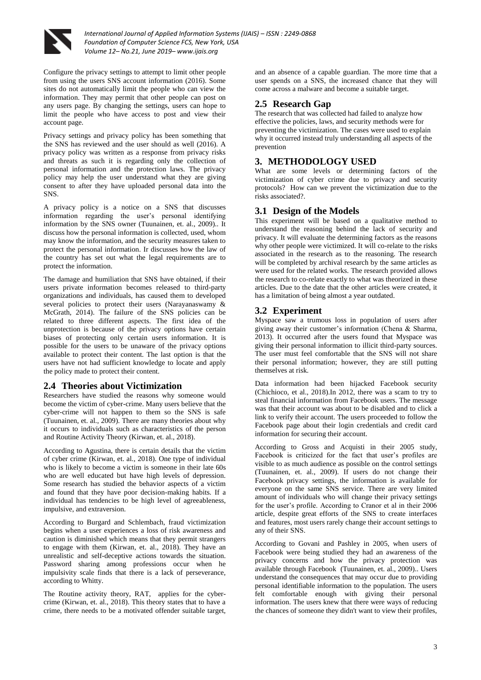

*International Journal of Applied Information Systems (IJAIS) – ISSN : 2249-0868 Foundation of Computer Science FCS, New York, USA Volume 12– No.21, June 2019– www.ijais.org*

Configure the privacy settings to attempt to limit other people from using the users SNS account information (2016). Some sites do not automatically limit the people who can view the information. They may permit that other people can post on any users page. By changing the settings, users can hope to limit the people who have access to post and view their account page.

Privacy settings and privacy policy has been something that the SNS has reviewed and the user should as well (2016). A privacy policy was written as a response from privacy risks and threats as such it is regarding only the collection of personal information and the protection laws. The privacy policy may help the user understand what they are giving consent to after they have uploaded personal data into the SNS.

A privacy policy is a notice on a SNS that discusses information regarding the user's personal identifying information by the SNS owner (Tuunainen, et. al., 2009).. It discuss how the personal information is collected, used, whom may know the information, and the security measures taken to protect the personal information. Ir discusses how the law of the country has set out what the legal requirements are to protect the information.

The damage and humiliation that SNS have obtained, if their users private information becomes released to third-party organizations and individuals, has caused them to developed several policies to protect their users (Narayanaswamy & McGrath, 2014). The failure of the SNS policies can be related to three different aspects. The first idea of the unprotection is because of the privacy options have certain biases of protecting only certain users information. It is possible for the users to be unaware of the privacy options available to protect their content. The last option is that the users have not had sufficient knowledge to locate and apply the policy made to protect their content.

#### **2.4 Theories about Victimization**

Researchers have studied the reasons why someone would become the victim of cyber-crime. Many users believe that the cyber-crime will not happen to them so the SNS is safe (Tuunainen, et. al., 2009). There are many theories about why it occurs to individuals such as characteristics of the person and Routine Activity Theory (Kirwan, et. al., 2018).

According to Agustina, there is certain details that the victim of cyber crime (Kirwan, et. al., 2018). One type of individual who is likely to become a victim is someone in their late 60s who are well educated but have high levels of depression. Some research has studied the behavior aspects of a victim and found that they have poor decision-making habits. If a individual has tendencies to be high level of agreeableness, impulsive, and extraversion.

According to Burgard and Schlembach, fraud victimization begins when a user experiences a loss of risk awareness and caution is diminished which means that they permit strangers to engage with them (Kirwan, et. al., 2018). They have an unrealistic and self-deceptive actions towards the situation. Password sharing among professions occur when he impulsivity scale finds that there is a lack of perseverance, according to Whitty.

The Routine activity theory, RAT, applies for the cybercrime (Kirwan, et. al., 2018). This theory states that to have a crime, there needs to be a motivated offender suitable target,

and an absence of a capable guardian. The more time that a user spends on a SNS, the increased chance that they will come across a malware and become a suitable target.

## **2.5 Research Gap**

The research that was collected had failed to analyze how effective the policies, laws, and security methods were for preventing the victimization. The cases were used to explain why it occurred instead truly understanding all aspects of the prevention

# **3. METHODOLOGY USED**

What are some levels or determining factors of the victimization of cyber crime due to privacy and security protocols? How can we prevent the victimization due to the risks associated?.

### **3.1 Design of the Models**

This experiment will be based on a qualitative method to understand the reasoning behind the lack of security and privacy. It will evaluate the determining factors as the reasons why other people were victimized. It will co-relate to the risks associated in the research as to the reasoning. The research will be completed by archival research by the same articles as were used for the related works. The research provided allows the research to co-relate exactly to what was theorized in these articles. Due to the date that the other articles were created, it has a limitation of being almost a year outdated.

#### **3.2 Experiment**

Myspace saw a trumous loss in population of users after giving away their customer's information (Chena & Sharma, 2013). It occurred after the users found that Myspace was giving their personal information to illicit third-party sources. The user must feel comfortable that the SNS will not share their personal information; however, they are still putting themselves at risk.

Data information had been hijacked Facebook security (Chichioco, et al., 2018).In 2012, there was a scam to try to steal financial information from Facebook users. The message was that their account was about to be disabled and to click a link to verify their account. The users proceeded to follow the Facebook page about their login credentials and credit card information for securing their account.

According to Gross and Acquisti in their 2005 study, Facebook is criticized for the fact that user's profiles are visible to as much audience as possible on the control settings (Tuunainen, et. al., 2009). If users do not change their Facebook privacy settings, the information is available for everyone on the same SNS service. There are very limited amount of individuals who will change their privacy settings for the user's profile. According to Cranor et al in their 2006 article, despite great efforts of the SNS to create interfaces and features, most users rarely change their account settings to any of their SNS.

According to Govani and Pashley in 2005, when users of Facebook were being studied they had an awareness of the privacy concerns and how the privacy protection was available through Facebook (Tuunainen, et. al., 2009).. Users understand the consequences that may occur due to providing personal identifiable information to the population. The users felt comfortable enough with giving their personal information. The users knew that there were ways of reducing the chances of someone they didn't want to view their profiles,